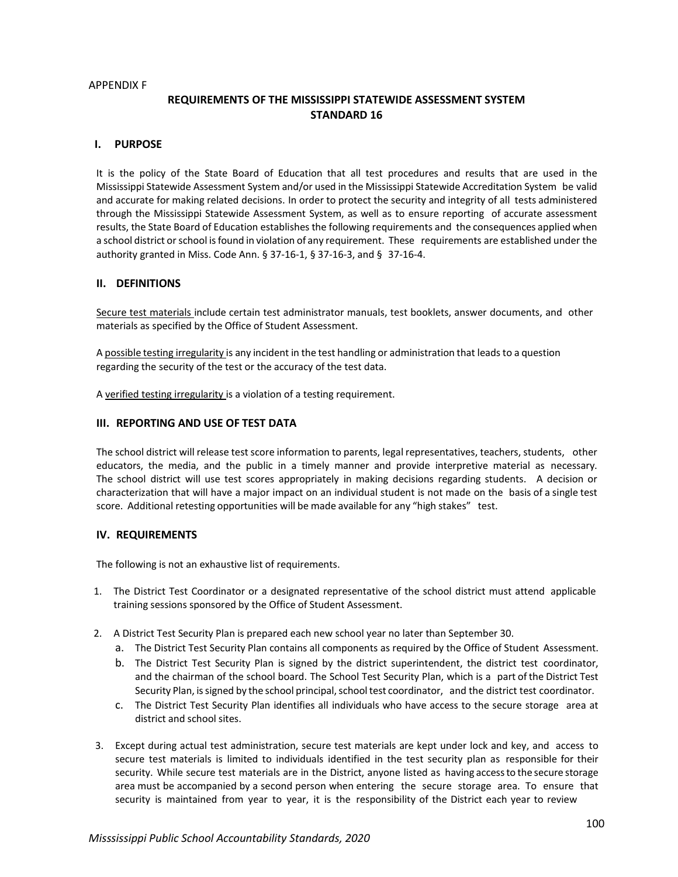#### APPENDIX F

# **REQUIREMENTS OF THE MISSISSIPPI STATEWIDE ASSESSMENT SYSTEM STANDARD 16**

## **I. PURPOSE**

It is the policy of the State Board of Education that all test procedures and results that are used in the Mississippi Statewide Assessment System and/or used in the Mississippi Statewide Accreditation System be valid and accurate for making related decisions. In order to protect the security and integrity of all tests administered through the Mississippi Statewide Assessment System, as well as to ensure reporting of accurate assessment results, the State Board of Education establishes the following requirements and the consequences applied when a school district orschool isfound in violation of any requirement. These requirements are established under the authority granted in Miss. Code Ann. § 37-16-1, § 37-16-3, and § 37-16-4.

## **II. DEFINITIONS**

Secure test materials include certain test administrator manuals, test booklets, answer documents, and other materials as specified by the Office of Student Assessment.

A possible testing irregularity is any incident in the test handling or administration that leads to a question regarding the security of the test or the accuracy of the test data.

A verified testing irregularity is a violation of a testing requirement.

### **III. REPORTING AND USE OF TEST DATA**

The school district will release test score information to parents, legal representatives, teachers, students, other educators, the media, and the public in a timely manner and provide interpretive material as necessary. The school district will use test scores appropriately in making decisions regarding students. A decision or characterization that will have a major impact on an individual student is not made on the basis of a single test score. Additional retesting opportunities will be made available for any "high stakes" test.

## **IV. REQUIREMENTS**

The following is not an exhaustive list of requirements.

- 1. The District Test Coordinator or a designated representative of the school district must attend applicable training sessions sponsored by the Office of Student Assessment.
- 2. A District Test Security Plan is prepared each new school year no later than September 30.
	- a. The District Test Security Plan contains all components as required by the Office of Student Assessment.
	- b. The District Test Security Plan is signed by the district superintendent, the district test coordinator, and the chairman of the school board. The School Test Security Plan, which is a part of the District Test Security Plan, is signed by the school principal, school test coordinator, and the district test coordinator.
	- c. The District Test Security Plan identifies all individuals who have access to the secure storage area at district and school sites.
- 3. Except during actual test administration, secure test materials are kept under lock and key, and access to secure test materials is limited to individuals identified in the test security plan as responsible for their security. While secure test materials are in the District, anyone listed as having accessto the secure storage area must be accompanied by a second person when entering the secure storage area. To ensure that security is maintained from year to year, it is the responsibility of the District each year to review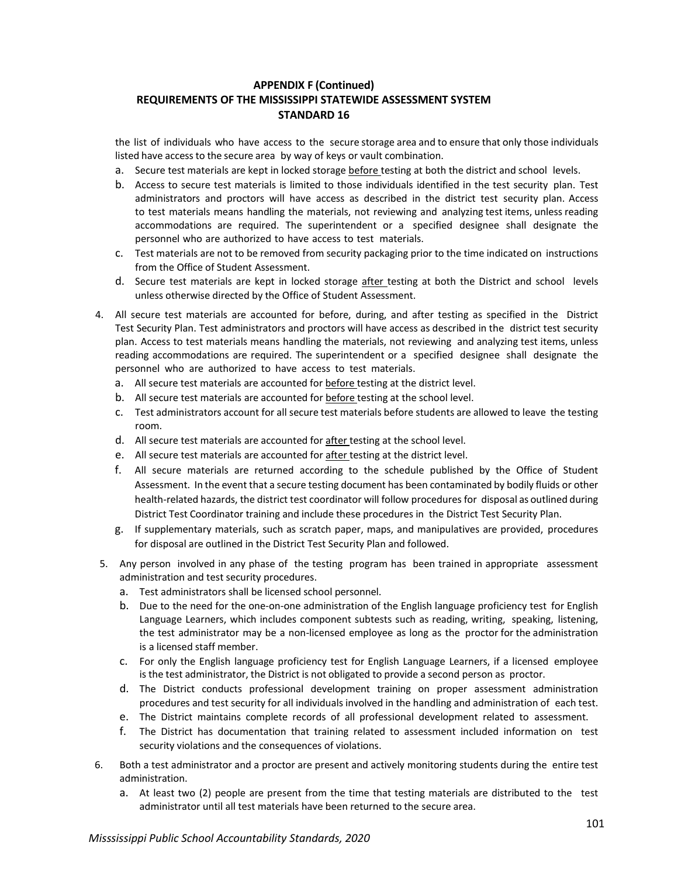the list of individuals who have access to the secure storage area and to ensure that only those individuals listed have access to the secure area by way of keys or vault combination.

- a. Secure test materials are kept in locked storage before testing at both the district and school levels.
- b. Access to secure test materials is limited to those individuals identified in the test security plan. Test administrators and proctors will have access as described in the district test security plan. Access to test materials means handling the materials, not reviewing and analyzing test items, unless reading accommodations are required. The superintendent or a specified designee shall designate the personnel who are authorized to have access to test materials.
- c. Test materials are not to be removed from security packaging prior to the time indicated on instructions from the Office of Student Assessment.
- d. Secure test materials are kept in locked storage after testing at both the District and school levels unless otherwise directed by the Office of Student Assessment.
- 4. All secure test materials are accounted for before, during, and after testing as specified in the District Test Security Plan. Test administrators and proctors will have access as described in the district test security plan. Access to test materials means handling the materials, not reviewing and analyzing test items, unless reading accommodations are required. The superintendent or a specified designee shall designate the personnel who are authorized to have access to test materials.
	- a. All secure test materials are accounted for before testing at the district level.
	- b. All secure test materials are accounted for before testing at the school level.
	- c. Test administrators account for all secure test materials before students are allowed to leave the testing room.
	- d. All secure test materials are accounted for after testing at the school level.
	- e. All secure test materials are accounted for after testing at the district level.
	- f. All secure materials are returned according to the schedule published by the Office of Student Assessment. In the event that a secure testing document has been contaminated by bodily fluids or other health-related hazards, the district test coordinator will follow procedures for disposal as outlined during District Test Coordinator training and include these procedures in the District Test Security Plan.
	- g. If supplementary materials, such as scratch paper, maps, and manipulatives are provided, procedures for disposal are outlined in the District Test Security Plan and followed.
- 5. Any person involved in any phase of the testing program has been trained in appropriate assessment administration and test security procedures.
	- a. Test administrators shall be licensed school personnel.
	- b. Due to the need for the one-on-one administration of the English language proficiency test for English Language Learners, which includes component subtests such as reading, writing, speaking, listening, the test administrator may be a non-licensed employee as long as the proctor for the administration is a licensed staff member.
	- c. For only the English language proficiency test for English Language Learners, if a licensed employee is the test administrator, the District is not obligated to provide a second person as proctor.
	- d. The District conducts professional development training on proper assessment administration procedures and test security for all individuals involved in the handling and administration of each test.
	- e. The District maintains complete records of all professional development related to assessment.
	- f. The District has documentation that training related to assessment included information on test security violations and the consequences of violations.
- 6. Both a test administrator and a proctor are present and actively monitoring students during the entire test administration.
	- a. At least two (2) people are present from the time that testing materials are distributed to the test administrator until all test materials have been returned to the secure area.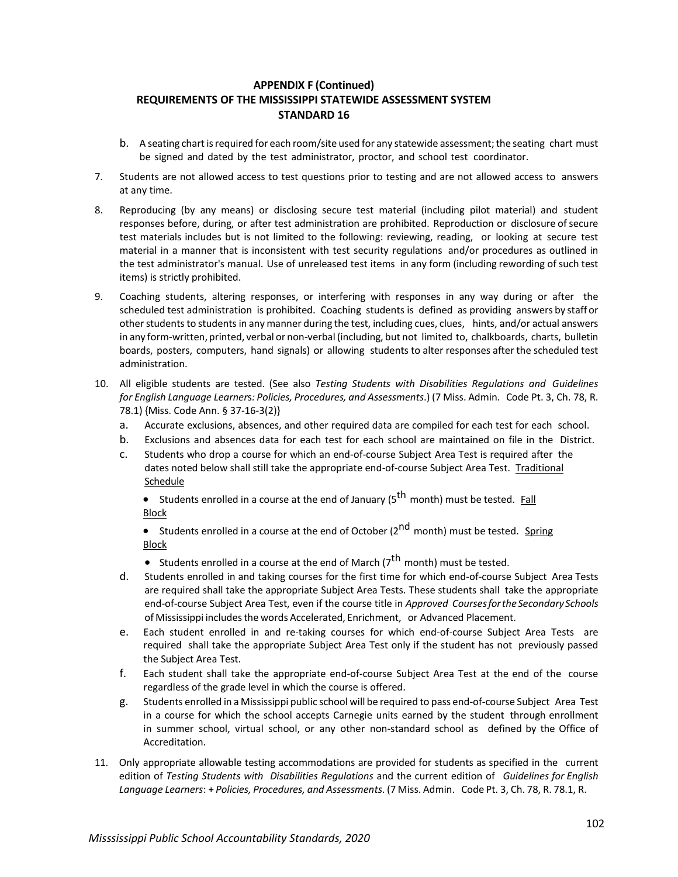- b. A seating chart is required for each room/site used for any statewide assessment; the seating chart must be signed and dated by the test administrator, proctor, and school test coordinator.
- 7. Students are not allowed access to test questions prior to testing and are not allowed access to answers at any time.
- 8. Reproducing (by any means) or disclosing secure test material (including pilot material) and student responses before, during, or after test administration are prohibited. Reproduction or disclosure of secure test materials includes but is not limited to the following: reviewing, reading, or looking at secure test material in a manner that is inconsistent with test security regulations and/or procedures as outlined in the test administrator's manual. Use of unreleased test items in any form (including rewording of such test items) is strictly prohibited.
- 9. Coaching students, altering responses, or interfering with responses in any way during or after the scheduled test administration is prohibited. Coaching students is defined as providing answers by staff or other students to students in any manner during the test, including cues, clues, hints, and/or actual answers in any form-written, printed, verbal or non-verbal (including, but not limited to, chalkboards, charts, bulletin boards, posters, computers, hand signals) or allowing students to alter responses after the scheduled test administration.
- 10. All eligible students are tested. (See also *Testing Students with Disabilities Regulations and Guidelines for English Language Learner*s*: Policies, Procedures, and Assessments*.) (7 Miss. Admin. Code Pt. 3, Ch. 78, R. 78.1) {Miss. Code Ann. § 37-16-3(2)}
	- a. Accurate exclusions, absences, and other required data are compiled for each test for each school.
	- b. Exclusions and absences data for each test for each school are maintained on file in the District.
	- c. Students who drop a course for which an end-of-course Subject Area Test is required after the dates noted below shall still take the appropriate end-of-course Subject Area Test. Traditional **Schedule**

• Students enrolled in a course at the end of January ( $5<sup>th</sup>$  month) must be tested. Fall Block

• Students enrolled in a course at the end of October ( $2^{nd}$  month) must be tested. Spring Block

- Students enrolled in a course at the end of March ( $7<sup>th</sup>$  month) must be tested.
- d. Students enrolled in and taking courses for the first time for which end-of-course Subject Area Tests are required shall take the appropriate Subject Area Tests. These students shall take the appropriate end-of-course Subject Area Test, even if the course title in *Approved CoursesfortheSecondary Schools* of Mississippi includesthe words Accelerated, Enrichment, or Advanced Placement.
- e. Each student enrolled in and re-taking courses for which end-of-course Subject Area Tests are required shall take the appropriate Subject Area Test only if the student has not previously passed the Subject Area Test.
- f. Each student shall take the appropriate end-of-course Subject Area Test at the end of the course regardless of the grade level in which the course is offered.
- g. Students enrolled in a Mississippi public school will be required to pass end-of-course Subject Area Test in a course for which the school accepts Carnegie units earned by the student through enrollment in summer school, virtual school, or any other non-standard school as defined by the Office of Accreditation.
- 11. Only appropriate allowable testing accommodations are provided for students as specified in the current edition of *Testing Students with Disabilities Regulations* and the current edition of *Guidelines for English Language Learners*: + *Policies, Procedures, and Assessments*. (7 Miss. Admin. Code Pt. 3, Ch. 78, R. 78.1, R.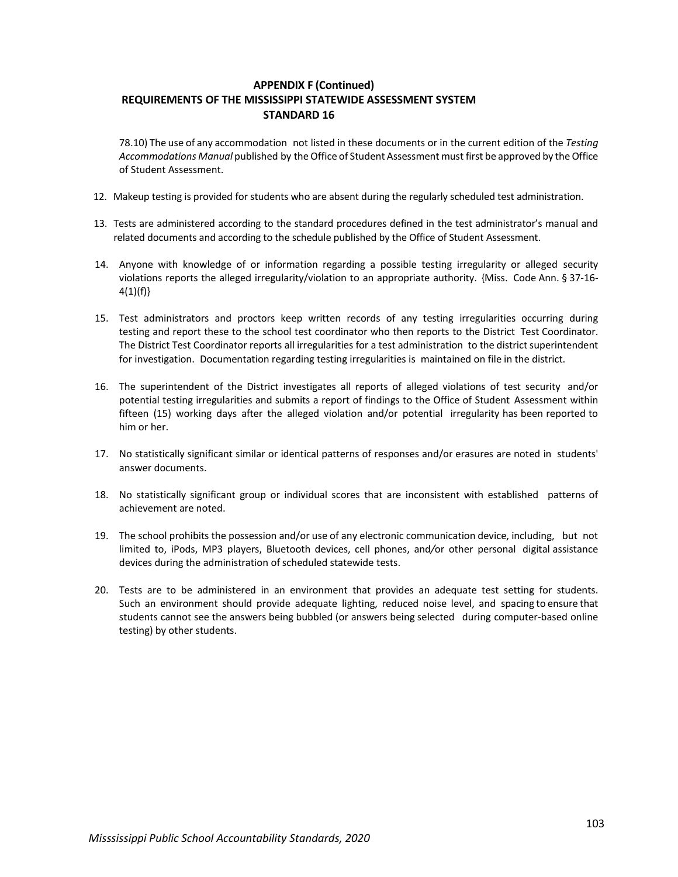78.10) The use of any accommodation not listed in these documents or in the current edition of the *Testing Accommodations Manual* published by theOffice of Student Assessment must first be approved by the Office of Student Assessment.

- 12. Makeup testing is provided for students who are absent during the regularly scheduled test administration.
- 13. Tests are administered according to the standard procedures defined in the test administrator's manual and related documents and according to the schedule published by the Office of Student Assessment.
- 14. Anyone with knowledge of or information regarding a possible testing irregularity or alleged security violations reports the alleged irregularity/violation to an appropriate authority. {Miss. Code Ann. § 37-16-  $4(1)(f)$
- 15. Test administrators and proctors keep written records of any testing irregularities occurring during testing and report these to the school test coordinator who then reports to the District Test Coordinator. The District Test Coordinator reports all irregularities for a test administration to the district superintendent for investigation. Documentation regarding testing irregularities is maintained on file in the district.
- 16. The superintendent of the District investigates all reports of alleged violations of test security and/or potential testing irregularities and submits a report of findings to the Office of Student Assessment within fifteen (15) working days after the alleged violation and/or potential irregularity has been reported to him or her.
- 17. No statistically significant similar or identical patterns of responses and/or erasures are noted in students' answer documents.
- 18. No statistically significant group or individual scores that are inconsistent with established patterns of achievement are noted.
- 19. The school prohibits the possession and/or use of any electronic communication device, including, but not limited to, iPods, MP3 players, Bluetooth devices, cell phones, and*/*or other personal digital assistance devices during the administration of scheduled statewide tests.
- 20. Tests are to be administered in an environment that provides an adequate test setting for students. Such an environment should provide adequate lighting, reduced noise level, and spacing to ensure that students cannot see the answers being bubbled (or answers being selected during computer-based online testing) by other students.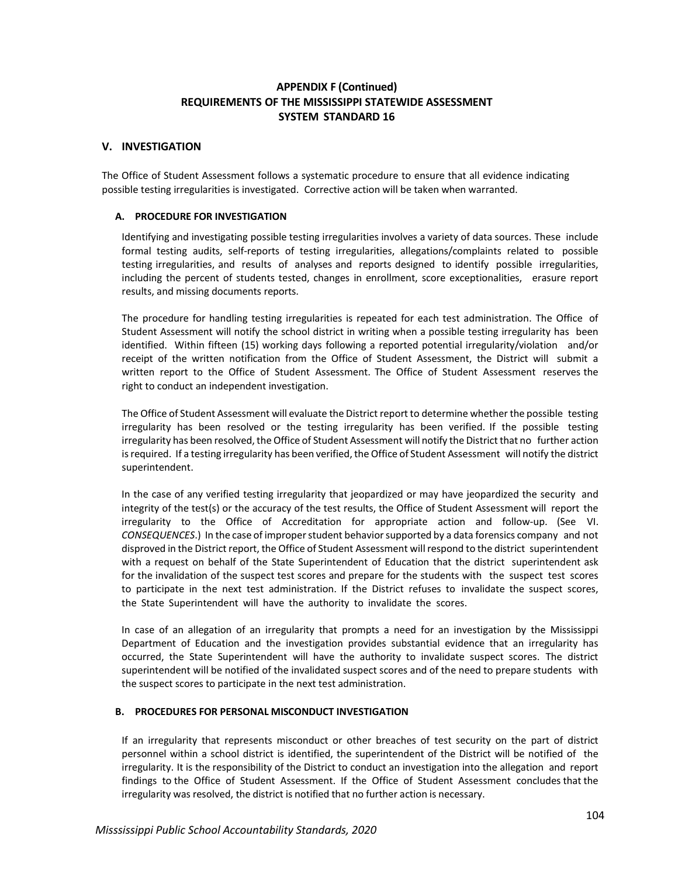## **V. INVESTIGATION**

The Office of Student Assessment follows a systematic procedure to ensure that all evidence indicating possible testing irregularities is investigated. Corrective action will be taken when warranted.

### **A. PROCEDURE FOR INVESTIGATION**

Identifying and investigating possible testing irregularities involves a variety of data sources. These include formal testing audits, self-reports of testing irregularities, allegations/complaints related to possible testing irregularities, and results of analyses and reports designed to identify possible irregularities, including the percent of students tested, changes in enrollment, score exceptionalities, erasure report results, and missing documents reports.

The procedure for handling testing irregularities is repeated for each test administration. The Office of Student Assessment will notify the school district in writing when a possible testing irregularity has been identified. Within fifteen (15) working days following a reported potential irregularity/violation and/or receipt of the written notification from the Office of Student Assessment, the District will submit a written report to the Office of Student Assessment. The Office of Student Assessment reserves the right to conduct an independent investigation.

The Office of Student Assessment will evaluate the District report to determine whether the possible testing irregularity has been resolved or the testing irregularity has been verified. If the possible testing irregularity has been resolved, the Office of Student Assessment will notify the District that no further action isrequired. If a testing irregularity has been verified, the Office of Student Assessment will notify the district superintendent.

In the case of any verified testing irregularity that jeopardized or may have jeopardized the security and integrity of the test(s) or the accuracy of the test results, the Office of Student Assessment will report the irregularity to the Office of Accreditation for appropriate action and follow-up. (See VI. *CONSEQUENCES*.) In the case of improperstudent behaviorsupported by a data forensics company and not disproved in the District report, the Office of Student Assessment willrespond to the district superintendent with a request on behalf of the State Superintendent of Education that the district superintendent ask for the invalidation of the suspect test scores and prepare for the students with the suspect test scores to participate in the next test administration. If the District refuses to invalidate the suspect scores, the State Superintendent will have the authority to invalidate the scores.

In case of an allegation of an irregularity that prompts a need for an investigation by the Mississippi Department of Education and the investigation provides substantial evidence that an irregularity has occurred, the State Superintendent will have the authority to invalidate suspect scores. The district superintendent will be notified of the invalidated suspect scores and of the need to prepare students with the suspect scores to participate in the next test administration.

## **B. PROCEDURES FOR PERSONAL MISCONDUCT INVESTIGATION**

If an irregularity that represents misconduct or other breaches of test security on the part of district personnel within a school district is identified, the superintendent of the District will be notified of the irregularity. It is the responsibility of the District to conduct an investigation into the allegation and report findings to the Office of Student Assessment. If the Office of Student Assessment concludes that the irregularity was resolved, the district is notified that no further action is necessary.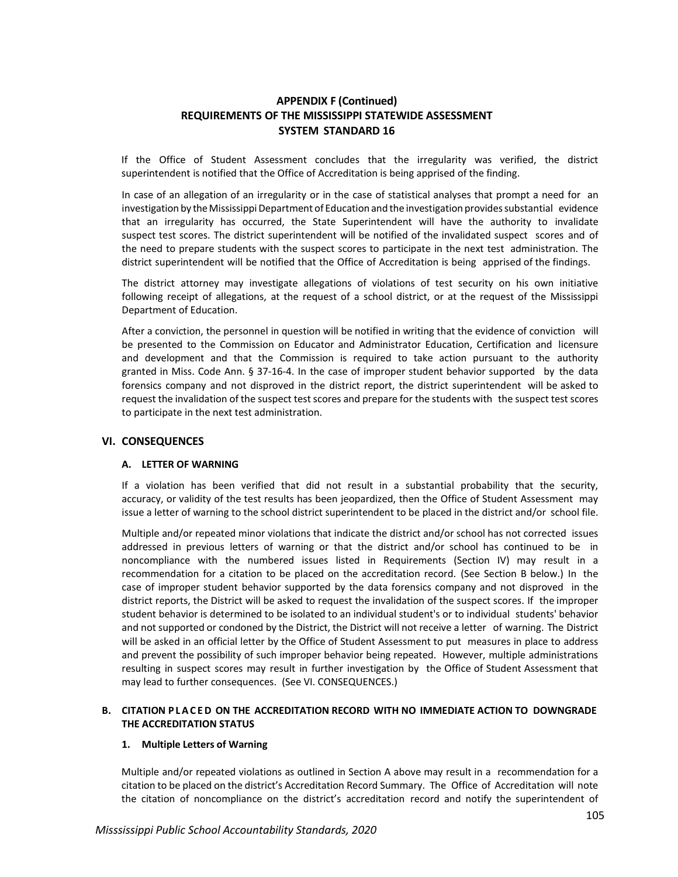If the Office of Student Assessment concludes that the irregularity was verified, the district superintendent is notified that the Office of Accreditation is being apprised of the finding.

In case of an allegation of an irregularity or in the case of statistical analyses that prompt a need for an investigation by the Mississippi Department of Education and the investigation provides substantial evidence that an irregularity has occurred, the State Superintendent will have the authority to invalidate suspect test scores. The district superintendent will be notified of the invalidated suspect scores and of the need to prepare students with the suspect scores to participate in the next test administration. The district superintendent will be notified that the Office of Accreditation is being apprised of the findings.

The district attorney may investigate allegations of violations of test security on his own initiative following receipt of allegations, at the request of a school district, or at the request of the Mississippi Department of Education.

After a conviction, the personnel in question will be notified in writing that the evidence of conviction will be presented to the Commission on Educator and Administrator Education, Certification and licensure and development and that the Commission is required to take action pursuant to the authority granted in Miss. Code Ann. § 37-16-4. In the case of improper student behavior supported by the data forensics company and not disproved in the district report, the district superintendent will be asked to request the invalidation of the suspect test scores and prepare for the students with the suspect test scores to participate in the next test administration.

## **VI. CONSEQUENCES**

#### **A. LETTER OF WARNING**

If a violation has been verified that did not result in a substantial probability that the security, accuracy, or validity of the test results has been jeopardized, then the Office of Student Assessment may issue a letter of warning to the school district superintendent to be placed in the district and/or school file.

Multiple and/or repeated minor violations that indicate the district and/or school has not corrected issues addressed in previous letters of warning or that the district and/or school has continued to be in noncompliance with the numbered issues listed in Requirements (Section IV) may result in a recommendation for a citation to be placed on the accreditation record. (See Section B below.) In the case of improper student behavior supported by the data forensics company and not disproved in the district reports, the District will be asked to request the invalidation of the suspect scores. If the improper student behavior is determined to be isolated to an individual student's or to individual students' behavior and not supported or condoned by the District, the District will not receive a letter of warning. The District will be asked in an official letter by the Office of Student Assessment to put measures in place to address and prevent the possibility of such improper behavior being repeated. However, multiple administrations resulting in suspect scores may result in further investigation by the Office of Student Assessment that may lead to further consequences. (See VI. CONSEQUENCES.)

#### **B. CITATION P L A C E D ON THE ACCREDITATION RECORD WITH NO IMMEDIATE ACTION TO DOWNGRADE THE ACCREDITATION STATUS**

#### **1. Multiple Letters of Warning**

Multiple and/or repeated violations as outlined in Section A above may result in a recommendation for a citation to be placed on the district's Accreditation Record Summary. The Office of Accreditation will note the citation of noncompliance on the district's accreditation record and notify the superintendent of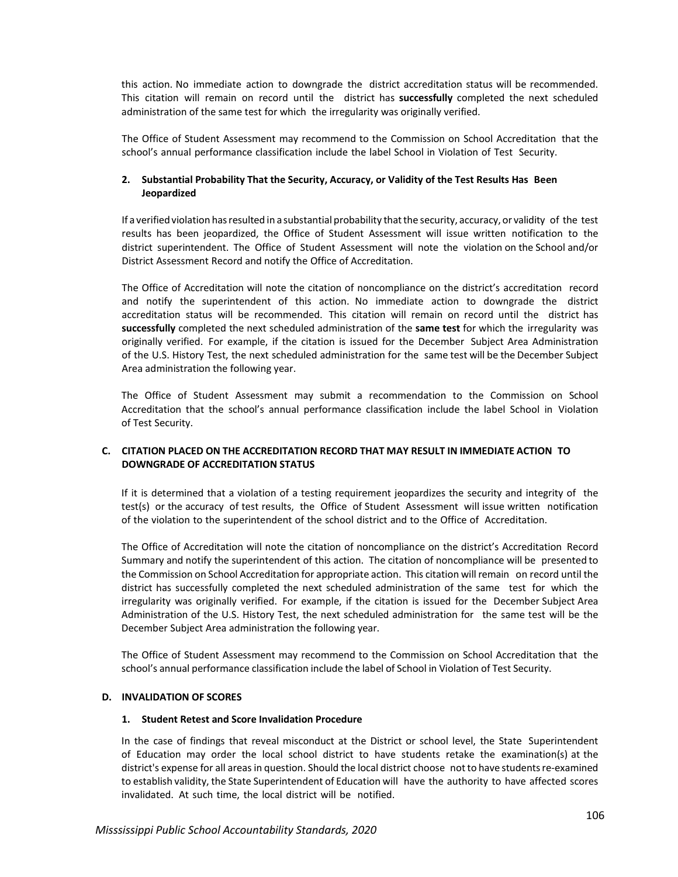this action. No immediate action to downgrade the district accreditation status will be recommended. This citation will remain on record until the district has **successfully** completed the next scheduled administration of the same test for which the irregularity was originally verified.

The Office of Student Assessment may recommend to the Commission on School Accreditation that the school's annual performance classification include the label School in Violation of Test Security.

## **2. Substantial Probability That the Security, Accuracy, or Validity of the Test Results Has Been Jeopardized**

If a verified violation has resulted in a substantial probability that the security, accuracy, or validity of the test results has been jeopardized, the Office of Student Assessment will issue written notification to the district superintendent. The Office of Student Assessment will note the violation on the School and/or District Assessment Record and notify the Office of Accreditation.

The Office of Accreditation will note the citation of noncompliance on the district's accreditation record and notify the superintendent of this action. No immediate action to downgrade the district accreditation status will be recommended. This citation will remain on record until the district has **successfully** completed the next scheduled administration of the **same test** for which the irregularity was originally verified. For example, if the citation is issued for the December Subject Area Administration of the U.S. History Test, the next scheduled administration for the same test will be the December Subject Area administration the following year.

The Office of Student Assessment may submit a recommendation to the Commission on School Accreditation that the school's annual performance classification include the label School in Violation of Test Security.

## **C. CITATION PLACED ON THE ACCREDITATION RECORD THAT MAY RESULT IN IMMEDIATE ACTION TO DOWNGRADE OF ACCREDITATION STATUS**

If it is determined that a violation of a testing requirement jeopardizes the security and integrity of the test(s) or the accuracy of test results, the Office of Student Assessment will issue written notification of the violation to the superintendent of the school district and to the Office of Accreditation.

The Office of Accreditation will note the citation of noncompliance on the district's Accreditation Record Summary and notify the superintendent of this action. The citation of noncompliance will be presented to the Commission on School Accreditation for appropriate action. This citation will remain on record until the district has successfully completed the next scheduled administration of the same test for which the irregularity was originally verified. For example, if the citation is issued for the December Subject Area Administration of the U.S. History Test, the next scheduled administration for the same test will be the December Subject Area administration the following year.

The Office of Student Assessment may recommend to the Commission on School Accreditation that the school's annual performance classification include the label of School in Violation of Test Security.

## **D. INVALIDATION OF SCORES**

#### **1. Student Retest and Score Invalidation Procedure**

In the case of findings that reveal misconduct at the District or school level, the State Superintendent of Education may order the local school district to have students retake the examination(s) at the district's expense for all areas in question. Should the local district choose notto have studentsre-examined to establish validity, the State Superintendent of Education will have the authority to have affected scores invalidated. At such time, the local district will be notified.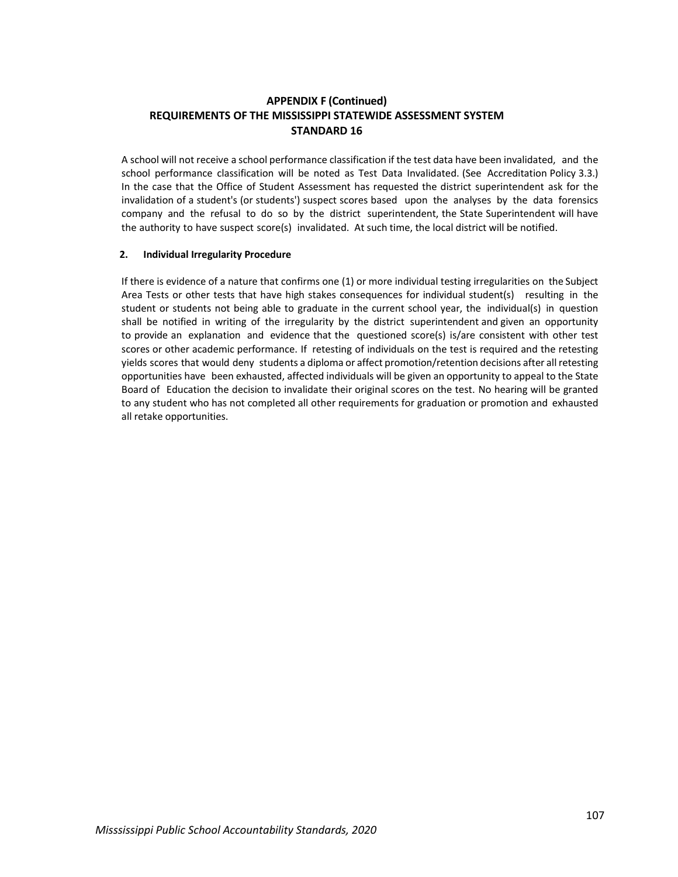A school will not receive a school performance classification if the test data have been invalidated, and the school performance classification will be noted as Test Data Invalidated. (See Accreditation Policy 3.3.) In the case that the Office of Student Assessment has requested the district superintendent ask for the invalidation of a student's (or students') suspect scores based upon the analyses by the data forensics company and the refusal to do so by the district superintendent, the State Superintendent will have the authority to have suspect score(s) invalidated. At such time, the local district will be notified.

#### **2. Individual Irregularity Procedure**

If there is evidence of a nature that confirms one (1) or more individual testing irregularities on the Subject Area Tests or other tests that have high stakes consequences for individual student(s) resulting in the student or students not being able to graduate in the current school year, the individual(s) in question shall be notified in writing of the irregularity by the district superintendent and given an opportunity to provide an explanation and evidence that the questioned score(s) is/are consistent with other test scores or other academic performance. If retesting of individuals on the test is required and the retesting yields scores that would deny students a diploma or affect promotion/retention decisions after allretesting opportunities have been exhausted, affected individuals will be given an opportunity to appeal to the State Board of Education the decision to invalidate their original scores on the test. No hearing will be granted to any student who has not completed all other requirements for graduation or promotion and exhausted all retake opportunities.